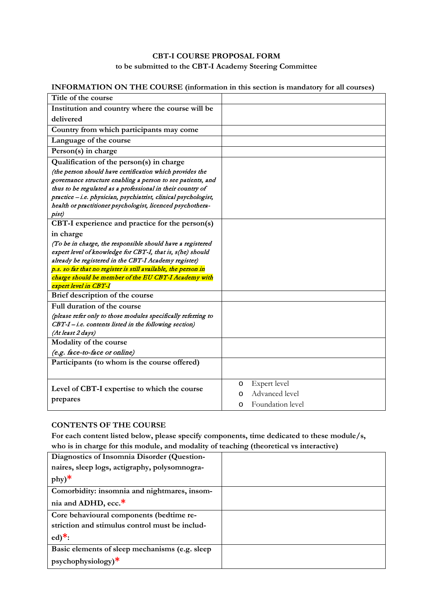## **CBT-I COURSE PROPOSAL FORM to be submitted to the CBT-I Academy Steering Committee**

# **INFORMATION ON THE COURSE (information in this section is mandatory for all courses)**

| Title of the course                                             |                       |
|-----------------------------------------------------------------|-----------------------|
| Institution and country where the course will be                |                       |
| delivered                                                       |                       |
| Country from which participants may come                        |                       |
| Language of the course                                          |                       |
| Person(s) in charge                                             |                       |
| Qualification of the person(s) in charge                        |                       |
| (the person should have certification which provides the        |                       |
| governance structure enabling a person to see patients, and     |                       |
| thus to be regulated as a professional in their country of      |                       |
| practice - i.e. physician, psychiatrist, clinical psychologist, |                       |
| health or practitioner psychologist, licenced psychothera-      |                       |
| pist)                                                           |                       |
| CBT-I experience and practice for the person(s)                 |                       |
| in charge                                                       |                       |
| (To be in charge, the responsible should have a registered      |                       |
| expert level of knowledge for CBT-I, that is, s(he) should      |                       |
| already be registered in the CBT-I Academy register)            |                       |
| p.s. so far that no register is still available, the person in  |                       |
| charge should be member of the EU CBT-I Academy with            |                       |
| expert level in CBT-I                                           |                       |
| Brief description of the course                                 |                       |
| Full duration of the course                                     |                       |
| (please refer only to those modules specifically referring to   |                       |
| CBT-I-i.e. contents listed in the following section)            |                       |
| (At least 2 days)                                               |                       |
| Modality of the course                                          |                       |
| (e.g. face-to-face or online)                                   |                       |
| Participants (to whom is the course offered)                    |                       |
|                                                                 |                       |
|                                                                 | Expert level<br>O     |
| Level of CBT-I expertise to which the course                    | Advanced level<br>O   |
| prepares                                                        | Foundation level<br>O |
|                                                                 |                       |

### **CONTENTS OF THE COURSE**

**For each content listed below, please specify components, time dedicated to these module/s, who is in charge for this module, and modality of teaching (theoretical vs interactive)**

| Diagnostics of Insomnia Disorder (Question-    |  |
|------------------------------------------------|--|
| naires, sleep logs, actigraphy, polysomnogra-  |  |
| $phy)$ *                                       |  |
| Comorbidity: insomnia and nightmares, insom-   |  |
| nia and ADHD, ecc.*                            |  |
| Core behavioural components (bedtime re-       |  |
| striction and stimulus control must be includ- |  |
| $ed)$ <sup>*</sup> :                           |  |
| Basic elements of sleep mechanisms (e.g. sleep |  |
| $psychophysiology)*$                           |  |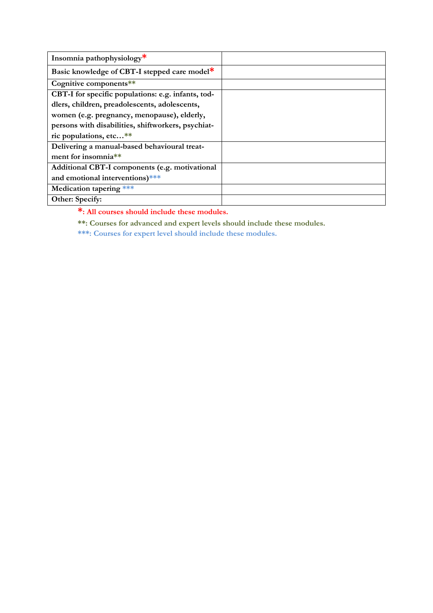| Insomnia pathophysiology*                          |  |
|----------------------------------------------------|--|
| Basic knowledge of CBT-I stepped care model*       |  |
| Cognitive components**                             |  |
| CBT-I for specific populations: e.g. infants, tod- |  |
| dlers, children, preadolescents, adolescents,      |  |
| women (e.g. pregnancy, menopause), elderly,        |  |
| persons with disabilities, shiftworkers, psychiat- |  |
| ric populations, etc**                             |  |
| Delivering a manual-based behavioural treat-       |  |
| ment for insomnia**                                |  |
| Additional CBT-I components (e.g. motivational     |  |
| and emotional interventions)***                    |  |
| Medication tapering ***                            |  |
| Other: Specify:                                    |  |

**\*: All courses should include these modules.** 

**\*\*: Courses for advanced and expert levels should include these modules.** 

**\*\*\*: Courses for expert level should include these modules.**